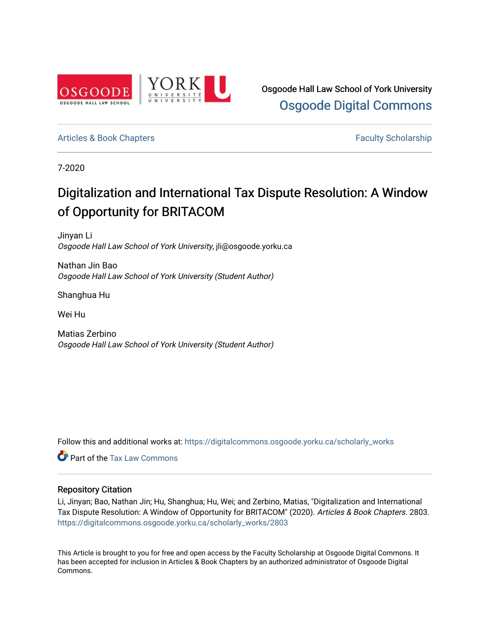

Osgoode Hall Law School of York University [Osgoode Digital Commons](https://digitalcommons.osgoode.yorku.ca/) 

[Articles & Book Chapters](https://digitalcommons.osgoode.yorku.ca/scholarly_works) **Faculty Scholarship Faculty Scholarship** 

7-2020

# Digitalization and International Tax Dispute Resolution: A Window of Opportunity for BRITACOM

Jinyan Li Osgoode Hall Law School of York University, jli@osgoode.yorku.ca

Nathan Jin Bao Osgoode Hall Law School of York University (Student Author)

Shanghua Hu

Wei Hu

Matias Zerbino Osgoode Hall Law School of York University (Student Author)

Follow this and additional works at: [https://digitalcommons.osgoode.yorku.ca/scholarly\\_works](https://digitalcommons.osgoode.yorku.ca/scholarly_works?utm_source=digitalcommons.osgoode.yorku.ca%2Fscholarly_works%2F2803&utm_medium=PDF&utm_campaign=PDFCoverPages) 

**Part of the [Tax Law Commons](http://network.bepress.com/hgg/discipline/898?utm_source=digitalcommons.osgoode.yorku.ca%2Fscholarly_works%2F2803&utm_medium=PDF&utm_campaign=PDFCoverPages)** 

#### Repository Citation

Li, Jinyan; Bao, Nathan Jin; Hu, Shanghua; Hu, Wei; and Zerbino, Matias, "Digitalization and International Tax Dispute Resolution: A Window of Opportunity for BRITACOM" (2020). Articles & Book Chapters. 2803. [https://digitalcommons.osgoode.yorku.ca/scholarly\\_works/2803](https://digitalcommons.osgoode.yorku.ca/scholarly_works/2803?utm_source=digitalcommons.osgoode.yorku.ca%2Fscholarly_works%2F2803&utm_medium=PDF&utm_campaign=PDFCoverPages)

This Article is brought to you for free and open access by the Faculty Scholarship at Osgoode Digital Commons. It has been accepted for inclusion in Articles & Book Chapters by an authorized administrator of Osgoode Digital Commons.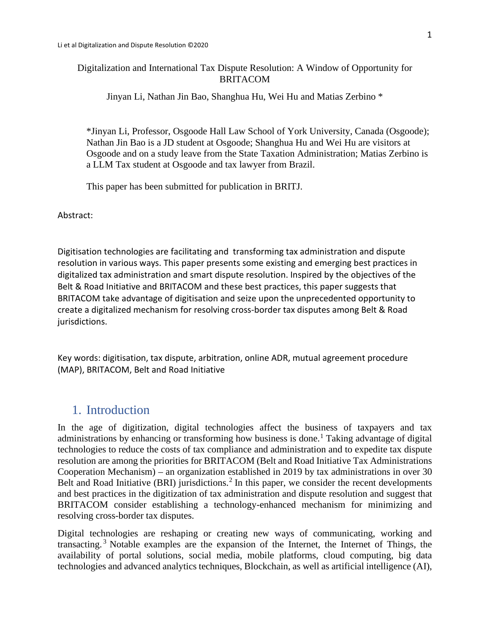## Digitalization and International Tax Dispute Resolution: A Window of Opportunity for BRITACOM

Jinyan Li, Nathan Jin Bao, Shanghua Hu, Wei Hu and Matias Zerbino \*

\*Jinyan Li, Professor, Osgoode Hall Law School of York University, Canada (Osgoode); Nathan Jin Bao is a JD student at Osgoode; Shanghua Hu and Wei Hu are visitors at Osgoode and on a study leave from the State Taxation Administration; Matias Zerbino is a LLM Tax student at Osgoode and tax lawyer from Brazil.

This paper has been submitted for publication in BRITJ.

Abstract:

Digitisation technologies are facilitating and transforming tax administration and dispute resolution in various ways. This paper presents some existing and emerging best practices in digitalized tax administration and smart dispute resolution. Inspired by the objectives of the Belt & Road Initiative and BRITACOM and these best practices, this paper suggests that BRITACOM take advantage of digitisation and seize upon the unprecedented opportunity to create a digitalized mechanism for resolving cross-border tax disputes among Belt & Road jurisdictions.

Key words: digitisation, tax dispute, arbitration, online ADR, mutual agreement procedure (MAP), BRITACOM, Belt and Road Initiative

## 1. Introduction

In the age of digitization, digital technologies affect the business of taxpayers and tax administrations by enhancing or transforming how business is done.<sup>[1](#page-15-0)</sup> Taking advantage of digital technologies to reduce the costs of tax compliance and administration and to expedite tax dispute resolution are among the priorities for BRITACOM (Belt and Road Initiative Tax Administrations Cooperation Mechanism) – an organization established in 2019 by tax administrations in over 30 Belt and Road Initiative (BRI) jurisdictions.<sup>[2](#page-15-1)</sup> In this paper, we consider the recent developments and best practices in the digitization of tax administration and dispute resolution and suggest that BRITACOM consider establishing a technology-enhanced mechanism for minimizing and resolving cross-border tax disputes.

Digital technologies are reshaping or creating new ways of communicating, working and transacting. [3](#page-15-2) Notable examples are the expansion of the Internet, the Internet of Things, the availability of portal solutions, social media, mobile platforms, cloud computing, big data technologies and advanced analytics techniques, Blockchain, as well as artificial intelligence (AI),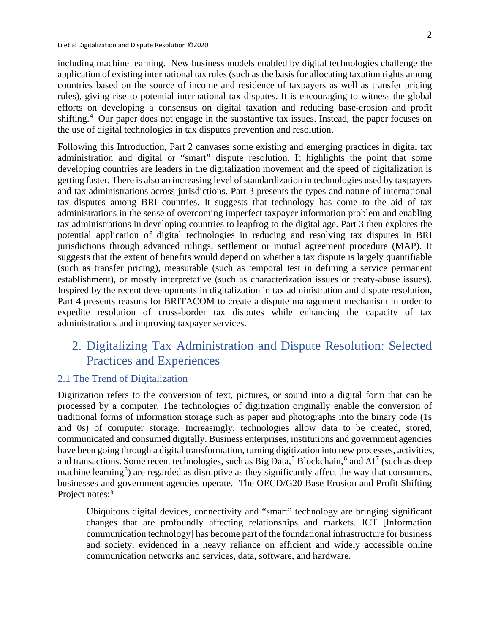including machine learning. New business models enabled by digital technologies challenge the application of existing international tax rules (such as the basis for allocating taxation rights among countries based on the source of income and residence of taxpayers as well as transfer pricing rules), giving rise to potential international tax disputes. It is encouraging to witness the global efforts on developing a consensus on digital taxation and reducing base-erosion and profit shifting.<sup>[4](#page-16-0)</sup> Our paper does not engage in the substantive tax issues. Instead, the paper focuses on the use of digital technologies in tax disputes prevention and resolution.

Following this Introduction, Part 2 canvases some existing and emerging practices in digital tax administration and digital or "smart" dispute resolution. It highlights the point that some developing countries are leaders in the digitalization movement and the speed of digitalization is getting faster. There is also an increasing level of standardization in technologies used by taxpayers and tax administrations across jurisdictions. Part 3 presents the types and nature of international tax disputes among BRI countries. It suggests that technology has come to the aid of tax administrations in the sense of overcoming imperfect taxpayer information problem and enabling tax administrations in developing countries to leapfrog to the digital age. Part 3 then explores the potential application of digital technologies in reducing and resolving tax disputes in BRI jurisdictions through advanced rulings, settlement or mutual agreement procedure (MAP). It suggests that the extent of benefits would depend on whether a tax dispute is largely quantifiable (such as transfer pricing), measurable (such as temporal test in defining a service permanent establishment), or mostly interpretative (such as characterization issues or treaty-abuse issues). Inspired by the recent developments in digitalization in tax administration and dispute resolution, Part 4 presents reasons for BRITACOM to create a dispute management mechanism in order to expedite resolution of cross-border tax disputes while enhancing the capacity of tax administrations and improving taxpayer services.

## 2. Digitalizing Tax Administration and Dispute Resolution: Selected Practices and Experiences

## 2.1 The Trend of Digitalization

Digitization refers to the conversion of text, pictures, or sound into a digital form that can be processed by a computer. The technologies of digitization originally enable the conversion of traditional forms of information storage such as paper and photographs into the binary code (1s and 0s) of computer storage. Increasingly, technologies allow data to be created, stored, communicated and consumed digitally. Business enterprises, institutions and government agencies have been going through a digital transformation, turning digitization into new processes, activities, and transactions. Some recent technologies, such as Big Data,<sup>[5](#page-16-1)</sup> Blockchain,<sup>[6](#page-16-2)</sup> and AI<sup>[7](#page-16-3)</sup> (such as deep machine learning<sup>[8](#page-16-4)</sup>) are regarded as disruptive as they significantly affect the way that consumers, businesses and government agencies operate. The OECD/G20 Base Erosion and Profit Shifting Project notes:<sup>[9](#page-16-5)</sup>

Ubiquitous digital devices, connectivity and "smart" technology are bringing significant changes that are profoundly affecting relationships and markets. ICT [Information communication technology] has become part of the foundational infrastructure for business and society, evidenced in a heavy reliance on efficient and widely accessible online communication networks and services, data, software, and hardware.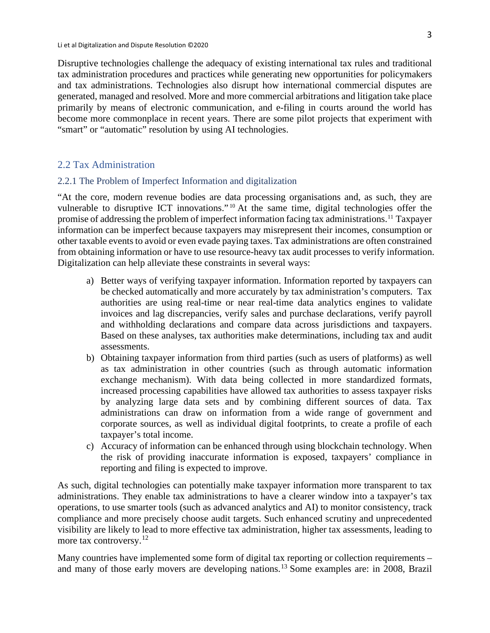Disruptive technologies challenge the adequacy of existing international tax rules and traditional tax administration procedures and practices while generating new opportunities for policymakers and tax administrations. Technologies also disrupt how international commercial disputes are generated, managed and resolved. More and more commercial arbitrations and litigation take place primarily by means of electronic communication, and e-filing in courts around the world has become more commonplace in recent years. There are some pilot projects that experiment with "smart" or "automatic" resolution by using AI technologies.

## 2.2 Tax Administration

#### 2.2.1 The Problem of Imperfect Information and digitalization

"At the core, modern revenue bodies are data processing organisations and, as such, they are vulnerable to disruptive ICT innovations." [10](#page-17-0) At the same time, digital technologies offer the promise of addressing the problem of imperfect information facing tax administrations.[11](#page-17-1) Taxpayer information can be imperfect because taxpayers may misrepresent their incomes, consumption or other taxable events to avoid or even evade paying taxes. Tax administrations are often constrained from obtaining information or have to use resource-heavy tax audit processes to verify information. Digitalization can help alleviate these constraints in several ways:

- a) Better ways of verifying taxpayer information. Information reported by taxpayers can be checked automatically and more accurately by tax administration's computers. Tax authorities are using real-time or near real-time data analytics engines to validate invoices and lag discrepancies, verify sales and purchase declarations, verify payroll and withholding declarations and compare data across jurisdictions and taxpayers. Based on these analyses, tax authorities make determinations, including tax and audit assessments.
- b) Obtaining taxpayer information from third parties (such as users of platforms) as well as tax administration in other countries (such as through automatic information exchange mechanism). With data being collected in more standardized formats, increased processing capabilities have allowed tax authorities to assess taxpayer risks by analyzing large data sets and by combining different sources of data. Tax administrations can draw on information from a wide range of government and corporate sources, as well as individual digital footprints, to create a profile of each taxpayer's total income.
- c) Accuracy of information can be enhanced through using blockchain technology. When the risk of providing inaccurate information is exposed, taxpayers' compliance in reporting and filing is expected to improve.

As such, digital technologies can potentially make taxpayer information more transparent to tax administrations. They enable tax administrations to have a clearer window into a taxpayer's tax operations, to use smarter tools (such as advanced analytics and AI) to monitor consistency, track compliance and more precisely choose audit targets. Such enhanced scrutiny and unprecedented visibility are likely to lead to more effective tax administration, higher tax assessments, leading to more tax controversy.<sup>[12](#page-17-2)</sup>

Many countries have implemented some form of digital tax reporting or collection requirements – and many of those early movers are developing nations.[13](#page-17-3) Some examples are: in 2008, Brazil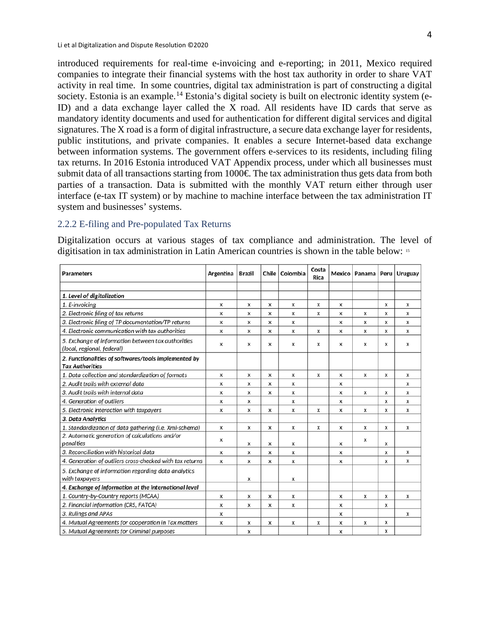introduced requirements for real-time e-invoicing and e-reporting; in 2011, Mexico required companies to integrate their financial systems with the host tax authority in order to share VAT activity in real time. In some countries, digital tax administration is part of constructing a digital society. Estonia is an example.<sup>[14](#page-18-0)</sup> Estonia's digital society is built on electronic identity system (e-ID) and a data exchange layer called the X road. All residents have ID cards that serve as mandatory identity documents and used for authentication for different digital services and digital signatures. The X road is a form of digital infrastructure, a secure data exchange layer for residents, public institutions, and private companies. It enables a secure Internet-based data exchange between information systems. The government offers e-services to its residents, including filing tax returns. In 2016 Estonia introduced VAT Appendix process, under which all businesses must submit data of all transactions starting from 1000€. The tax administration thus gets data from both parties of a transaction. Data is submitted with the monthly VAT return either through user interface (e-tax IT system) or by machine to machine interface between the tax administration IT system and businesses' systems.

#### 2.2.2 E-filing and Pre-populated Tax Returns

Digitalization occurs at various stages of tax compliance and administration. The level of digitisation in tax administration in Latin American countries is shown in the table below: [15](#page-18-1)

| <b>Parameters</b>                                                                | Argentina | Brazil | Chile | Colombia | Costa<br>Rica |   | Mexico   Panama   Peru |                           | Uruguay |
|----------------------------------------------------------------------------------|-----------|--------|-------|----------|---------------|---|------------------------|---------------------------|---------|
|                                                                                  |           |        |       |          |               |   |                        |                           |         |
| 1. Level of digitalization                                                       |           |        |       |          |               |   |                        |                           |         |
| 1. E-invoicing                                                                   | х         | x      | x     | х        | x             | x |                        | x                         | x       |
| 2. Electronic filing of tax returns                                              | x         | x      | x     | x        | x             | x | x                      | x                         | x       |
| 3. Electronic filing of TP documentation/TP returns                              | x         | x      | x     | x        |               | x | x                      | $\boldsymbol{\mathsf{x}}$ | x       |
| 4. Electronic communication with tax authorities                                 | х         | x      | x     | x        | x             | x | x                      | X                         | x       |
| 5. Exchange of information between tax authorities<br>(local, regional, federal) | x         | x      | x     | x        | x             | x | x                      | X                         | x       |
| 2. Functionalities of softwares/tools implemented by<br><b>Tax Authorities</b>   |           |        |       |          |               |   |                        |                           |         |
| 1. Data collection and standardization of formats                                | х         | x      | x     | x        | x             | x | x                      | x                         | x       |
| 2. Audit trails with external data                                               | x         | x      | x     | x        |               | x |                        |                           | x       |
| 3. Audit trails with internal data                                               | x         | x      | x     | x        |               | x | x                      | x                         | x       |
| 4. Generation of outliers                                                        | x         | x      |       | x        |               | x |                        | X                         | x       |
| 5. Electronic interaction with taxpayers                                         | x         | x      | x     | x        | x             | x | x                      | x                         | x       |
| 3. Data Analytics                                                                |           |        |       |          |               |   |                        |                           |         |
| 1. Standardization of data gathering (i.e. Xml-schema)                           | х         | x      | x     | x        | x             | x | x                      | x                         | x       |
| 2. Automatic generation of calculations and/or<br>penalties                      | х         | x      | x     | x        |               | x | x                      | x                         |         |
| 3. Reconciliation with historical data                                           | х         | x      | x     | x        |               | x |                        | x                         | x       |
| 4. Generation of outliers cross-checked with tax returns                         | х         | x      | х     | х        |               | x |                        | x                         | x       |
| 5. Exchange of information regarding data analytics<br>with taxpayers            |           | x      |       | х        |               |   |                        |                           |         |
| 4. Exchange of information at the international level                            |           |        |       |          |               |   |                        |                           |         |
| 1. Country-by-Country reports (MCAA)                                             | х         | x      | x     | x        |               | x | x                      | x                         | x       |
| 2. Financial information (CRS, FATCA)                                            | x         | x      | х     | x        |               | x |                        | x                         |         |
| 3. Rulings and APAs                                                              | х         |        |       |          |               | x |                        |                           | x       |
| 4. Mutual Agreements for cooperation in Tax matters                              | x         | x      | x     | x        | x             | x | x                      | x                         |         |
| 5. Mutual Agreements for Criminal purposes                                       |           | x      |       |          |               | x |                        | X                         |         |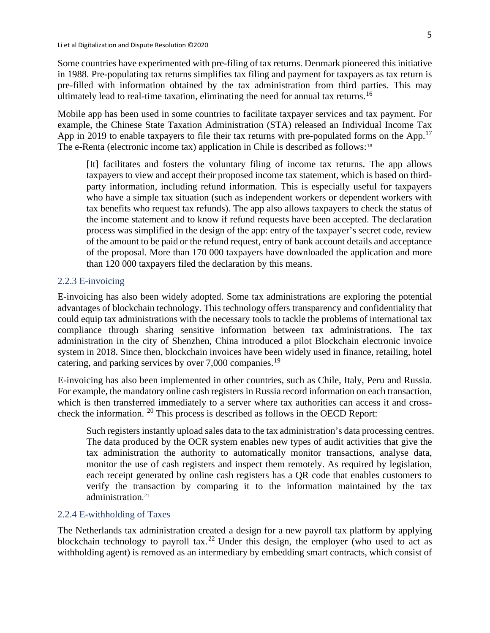Some countries have experimented with pre-filing of tax returns. Denmark pioneered this initiative in 1988. Pre-populating tax returns simplifies tax filing and payment for taxpayers as tax return is pre-filled with information obtained by the tax administration from third parties. This may ultimately lead to real-time taxation, eliminating the need for annual tax returns.<sup>[16](#page-19-0)</sup>

Mobile app has been used in some countries to facilitate taxpayer services and tax payment. For example, the Chinese State Taxation Administration (STA) released an Individual Income Tax App in 2019 to enable taxpayers to file their tax returns with pre-populated forms on the App.<sup>[17](#page-19-1)</sup> The e-Renta (electronic income tax) application in Chile is described as follows:<sup>[18](#page-19-2)</sup>

[It] facilitates and fosters the voluntary filing of income tax returns. The app allows taxpayers to view and accept their proposed income tax statement, which is based on thirdparty information, including refund information. This is especially useful for taxpayers who have a simple tax situation (such as independent workers or dependent workers with tax benefits who request tax refunds). The app also allows taxpayers to check the status of the income statement and to know if refund requests have been accepted. The declaration process was simplified in the design of the app: entry of the taxpayer's secret code, review of the amount to be paid or the refund request, entry of bank account details and acceptance of the proposal. More than 170 000 taxpayers have downloaded the application and more than 120 000 taxpayers filed the declaration by this means.

#### 2.2.3 E-invoicing

E-invoicing has also been widely adopted. Some tax administrations are exploring the potential advantages of blockchain technology. This technology offers transparency and confidentiality that could equip tax administrations with the necessary tools to tackle the problems of international tax compliance through sharing sensitive information between tax administrations. The tax administration in the city of Shenzhen, China introduced a pilot Blockchain electronic invoice system in 2018. Since then, blockchain invoices have been widely used in finance, retailing, hotel catering, and parking services by over 7,000 companies.<sup>[19](#page-19-3)</sup>

E-invoicing has also been implemented in other countries, such as Chile, Italy, Peru and Russia. For example, the mandatory online cash registers in Russia record information on each transaction, which is then transferred immediately to a server where tax authorities can access it and crosscheck the information. [20](#page-19-4) This process is described as follows in the OECD Report:

Such registers instantly upload sales data to the tax administration's data processing centres. The data produced by the OCR system enables new types of audit activities that give the tax administration the authority to automatically monitor transactions, analyse data, monitor the use of cash registers and inspect them remotely. As required by legislation, each receipt generated by online cash registers has a QR code that enables customers to verify the transaction by comparing it to the information maintained by the tax administration. [21](#page-19-5) 

#### 2.2.4 E-withholding of Taxes

The Netherlands tax administration created a design for a new payroll tax platform by applying blockchain technology to payroll tax.<sup>[22](#page-19-6)</sup> Under this design, the employer (who used to act as withholding agent) is removed as an intermediary by embedding smart contracts, which consist of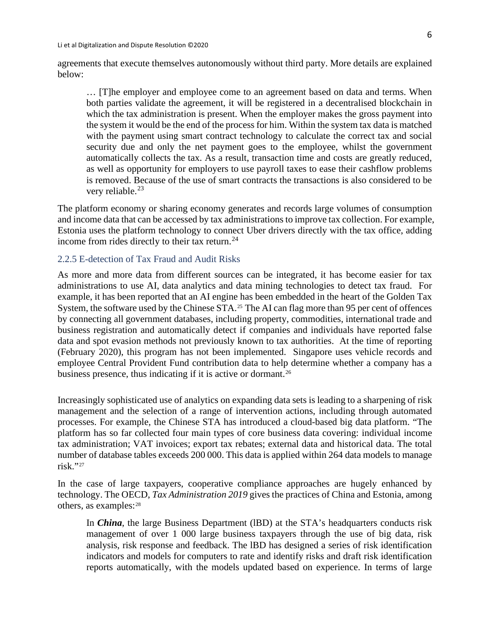agreements that execute themselves autonomously without third party. More details are explained below:

… [T]he employer and employee come to an agreement based on data and terms. When both parties validate the agreement, it will be registered in a decentralised blockchain in which the tax administration is present. When the employer makes the gross payment into the system it would be the end of the process for him. Within the system tax data is matched with the payment using smart contract technology to calculate the correct tax and social security due and only the net payment goes to the employee, whilst the government automatically collects the tax. As a result, transaction time and costs are greatly reduced, as well as opportunity for employers to use payroll taxes to ease their cashflow problems is removed. Because of the use of smart contracts the transactions is also considered to be very reliable. $^{23}$  $^{23}$  $^{23}$ 

The platform economy or sharing economy generates and records large volumes of consumption and income data that can be accessed by tax administrations to improve tax collection. For example, Estonia uses the platform technology to connect Uber drivers directly with the tax office, adding income from rides directly to their tax return. $^{24}$  $^{24}$  $^{24}$ 

#### 2.2.5 E-detection of Tax Fraud and Audit Risks

As more and more data from different sources can be integrated, it has become easier for tax administrations to use AI, data analytics and data mining technologies to detect tax fraud. For example, it has been reported that an AI engine has been embedded in the heart of the Golden Tax System, the software used by the Chinese STA.<sup>[25](#page-19-9)</sup> The AI can flag more than 95 per cent of offences by connecting all government databases, including property, commodities, international trade and business registration and automatically detect if companies and individuals have reported false data and spot evasion methods not previously known to tax authorities. At the time of reporting (February 2020), this program has not been implemented. Singapore uses vehicle records and employee Central Provident Fund contribution data to help determine whether a company has a business presence, thus indicating if it is active or dormant.<sup>[26](#page-19-10)</sup>

Increasingly sophisticated use of analytics on expanding data sets is leading to a sharpening of risk management and the selection of a range of intervention actions, including through automated processes. For example, the Chinese STA has introduced a cloud-based big data platform. "The platform has so far collected four main types of core business data covering: individual income tax administration; VAT invoices; export tax rebates; external data and historical data. The total number of database tables exceeds 200 000. This data is applied within 264 data models to manage risk."[27](#page-19-11)

In the case of large taxpayers, cooperative compliance approaches are hugely enhanced by technology. The OECD, *Tax Administration 2019* gives the practices of China and Estonia, among others, as examples:[28](#page-19-12)

In *China*, the large Business Department (IBD) at the STA's headquarters conducts risk management of over 1 000 large business taxpayers through the use of big data, risk analysis, risk response and feedback. The lBD has designed a series of risk identification indicators and models for computers to rate and identify risks and draft risk identification reports automatically, with the models updated based on experience. In terms of large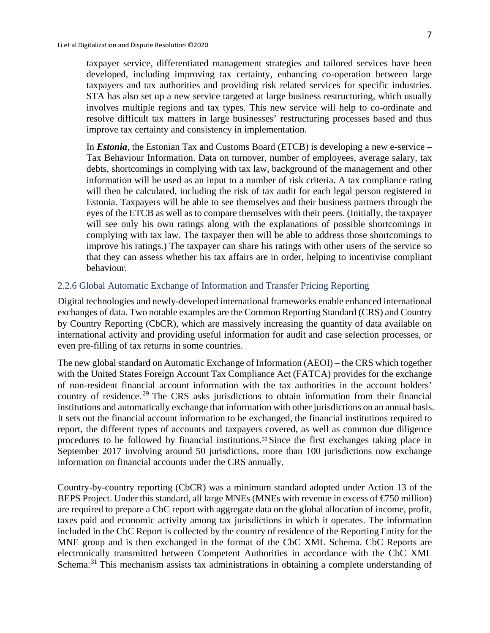taxpayer service, differentiated management strategies and tailored services have been developed, including improving tax certainty, enhancing co-operation between large taxpayers and tax authorities and providing risk related services for specific industries. STA has also set up a new service targeted at large business restructuring, which usually involves multiple regions and tax types. This new service will help to co-ordinate and resolve difficult tax matters in large businesses' restructuring processes based and thus improve tax certainty and consistency in implementation.

In *Estonia*, the Estonian Tax and Customs Board (ETCB) is developing a new e-service – Tax Behaviour Information. Data on turnover, number of employees, average salary, tax debts, shortcomings in complying with tax law, background of the management and other information will be used as an input to a number of risk criteria. A tax compliance rating will then be calculated, including the risk of tax audit for each legal person registered in Estonia. Taxpayers will be able to see themselves and their business partners through the eyes of the ETCB as well as to compare themselves with their peers. (Initially, the taxpayer will see only his own ratings along with the explanations of possible shortcomings in complying with tax law. The taxpayer then will be able to address those shortcomings to improve his ratings.) The taxpayer can share his ratings with other users of the service so that they can assess whether his tax affairs are in order, helping to incentivise compliant behaviour.

## 2.2.6 Global Automatic Exchange of Information and Transfer Pricing Reporting

Digital technologies and newly-developed international frameworks enable enhanced international exchanges of data. Two notable examples are the Common Reporting Standard (CRS) and Country by Country Reporting (CbCR), which are massively increasing the quantity of data available on international activity and providing useful information for audit and case selection processes, or even pre-filling of tax returns in some countries.

The new global standard on Automatic Exchange of Information (AEOI) – the CRS which together with the United States Foreign Account Tax Compliance Act (FATCA) provides for the exchange of non-resident financial account information with the tax authorities in the account holders' country of residence. [29](#page-19-13) The CRS asks jurisdictions to obtain information from their financial institutions and automatically exchange that information with other jurisdictions on an annual basis. It sets out the financial account information to be exchanged, the financial institutions required to report, the different types of accounts and taxpayers covered, as well as common due diligence procedures to be followed by financial institutions.[30](#page-19-14) Since the first exchanges taking place in September 2017 involving around 50 jurisdictions, more than 100 jurisdictions now exchange information on financial accounts under the CRS annually.

Country-by-country reporting (CbCR) was a minimum standard adopted under Action 13 of the BEPS Project. Under this standard, all large MNEs (MNEs with revenue in excess of  $\epsilon$ 750 million) are required to prepare a CbC report with aggregate data on the global allocation of income, profit, taxes paid and economic activity among tax jurisdictions in which it operates. The information included in the CbC Report is collected by the country of residence of the Reporting Entity for the MNE group and is then exchanged in the format of the CbC XML Schema. CbC Reports are electronically transmitted between Competent Authorities in accordance with the CbC XML Schema.<sup>[31](#page-19-15)</sup> This mechanism assists tax administrations in obtaining a complete understanding of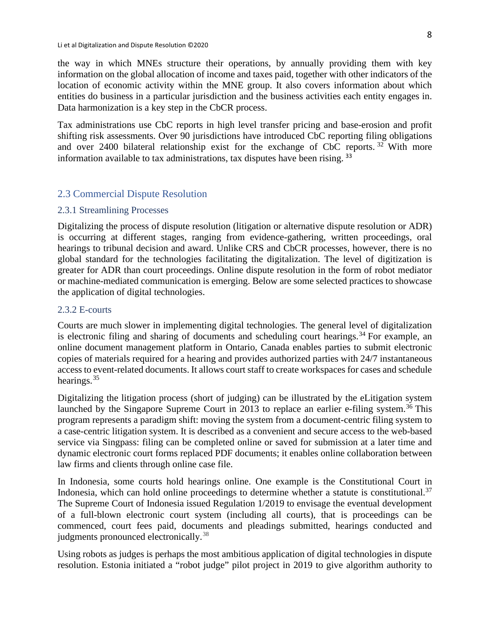the way in which MNEs structure their operations, by annually providing them with key information on the global allocation of income and taxes paid, together with other indicators of the location of economic activity within the MNE group. It also covers information about which entities do business in a particular jurisdiction and the business activities each entity engages in. Data harmonization is a key step in the CbCR process.

Tax administrations use CbC reports in high level transfer pricing and base-erosion and profit shifting risk assessments. Over 90 jurisdictions have introduced CbC reporting filing obligations and over 2400 bilateral relationship exist for the exchange of CbC reports. [32](#page-19-16) With more information available to tax administrations, tax disputes have been rising. [33](#page-19-17)

#### 2.3 Commercial Dispute Resolution

#### 2.3.1 Streamlining Processes

Digitalizing the process of dispute resolution (litigation or alternative dispute resolution or ADR) is occurring at different stages, ranging from evidence-gathering, written proceedings, oral hearings to tribunal decision and award. Unlike CRS and CbCR processes, however, there is no global standard for the technologies facilitating the digitalization. The level of digitization is greater for ADR than court proceedings. Online dispute resolution in the form of robot mediator or machine-mediated communication is emerging. Below are some selected practices to showcase the application of digital technologies.

#### 2.3.2 E-courts

Courts are much slower in implementing digital technologies. The general level of digitalization is electronic filing and sharing of documents and scheduling court hearings.<sup>[34](#page-19-18)</sup> For example, an online document management platform in Ontario, Canada enables parties to submit electronic copies of materials required for a hearing and provides authorized parties with 24/7 instantaneous access to event-related documents. It allows court staff to create workspaces for cases and schedule hearings.<sup>[35](#page-19-19)</sup>

Digitalizing the litigation process (short of judging) can be illustrated by the eLitigation system launched by the Singapore Supreme Court in 2013 to replace an earlier e-filing system.<sup>[36](#page-19-20)</sup> This program represents a paradigm shift: moving the system from a document-centric filing system to a case-centric litigation system. It is described as a convenient and secure access to the web-based service via Singpass: filing can be completed online or saved for submission at a later time and dynamic electronic court forms replaced PDF documents; it enables online collaboration between law firms and clients through online case file.

In Indonesia, some courts hold hearings online. One example is the Constitutional Court in Indonesia, which can hold online proceedings to determine whether a statute is constitutional.<sup>[37](#page-19-21)</sup> The Supreme Court of Indonesia issued Regulation 1/2019 to envisage the eventual development of a full-blown electronic court system (including all courts), that is proceedings can be commenced, court fees paid, documents and pleadings submitted, hearings conducted and judgments pronounced electronically.<sup>[38](#page-19-22)</sup>

Using robots as judges is perhaps the most ambitious application of digital technologies in dispute resolution. Estonia initiated a "robot judge" pilot project in 2019 to give algorithm authority to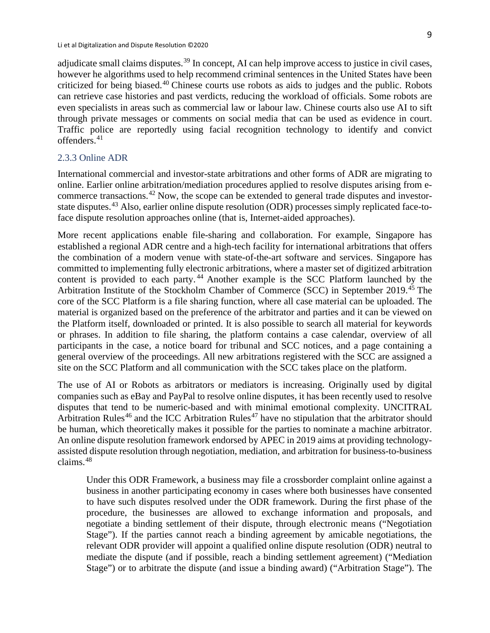adjudicate small claims disputes.<sup>[39](#page-19-23)</sup> In concept, AI can help improve access to justice in civil cases, however he algorithms used to help recommend criminal sentences in the United States have been criticized for being biased.<sup>[40](#page-19-24)</sup> Chinese courts use robots as aids to judges and the public. Robots can retrieve case histories and past verdicts, reducing the workload of officials. Some robots are even specialists in areas such as commercial law or labour law. Chinese courts also use AI to sift through private messages or comments on social media that can be used as evidence in court. Traffic police are reportedly using facial recognition technology to identify and convict offenders.<sup>[41](#page-19-25)</sup>

#### 2.3.3 Online ADR

International commercial and investor-state arbitrations and other forms of ADR are migrating to online. Earlier online arbitration/mediation procedures applied to resolve disputes arising from ecommerce transactions.[42](#page-19-26) Now, the scope can be extended to general trade disputes and investor-state disputes.<sup>[43](#page-19-11)</sup> Also, earlier online dispute resolution (ODR) processes simply replicated face-toface dispute resolution approaches online (that is, Internet-aided approaches).

More recent applications enable file-sharing and collaboration. For example, Singapore has established a regional ADR centre and a high-tech facility for international arbitrations that offers the combination of a modern venue with state-of-the-art software and services. Singapore has committed to implementing fully electronic arbitrations, where a master set of digitized arbitration content is provided to each party.<sup>[44](#page-19-27)</sup> Another example is the SCC Platform launched by the Arbitration Institute of the Stockholm Chamber of Commerce (SCC) in September 2019.[45](#page-19-28) The core of the SCC Platform is a file sharing function, where all case material can be uploaded. The material is organized based on the preference of the arbitrator and parties and it can be viewed on the Platform itself, downloaded or printed. It is also possible to search all material for keywords or phrases. In addition to file sharing, the platform contains a case calendar, overview of all participants in the case, a notice board for tribunal and SCC notices, and a page containing a general overview of the proceedings. All new arbitrations registered with the SCC are assigned a site on the SCC Platform and all communication with the SCC takes place on the platform.

The use of AI or Robots as arbitrators or mediators is increasing. Originally used by digital companies such as eBay and PayPal to resolve online disputes, it has been recently used to resolve disputes that tend to be numeric-based and with minimal emotional complexity. UNCITRAL Arbitration Rules<sup>[46](#page-19-29)</sup> and the ICC Arbitration Rules<sup>[47](#page-19-30)</sup> have no stipulation that the arbitrator should be human, which theoretically makes it possible for the parties to nominate a machine arbitrator. An online dispute resolution framework endorsed by APEC in 2019 aims at providing technologyassisted dispute resolution through negotiation, mediation, and arbitration for business-to-business claims.[48](#page-19-31)

Under this ODR Framework, a business may file a crossborder complaint online against a business in another participating economy in cases where both businesses have consented to have such disputes resolved under the ODR framework. During the first phase of the procedure, the businesses are allowed to exchange information and proposals, and negotiate a binding settlement of their dispute, through electronic means ("Negotiation Stage"). If the parties cannot reach a binding agreement by amicable negotiations, the relevant ODR provider will appoint a qualified online dispute resolution (ODR) neutral to mediate the dispute (and if possible, reach a binding settlement agreement) ("Mediation Stage") or to arbitrate the dispute (and issue a binding award) ("Arbitration Stage"). The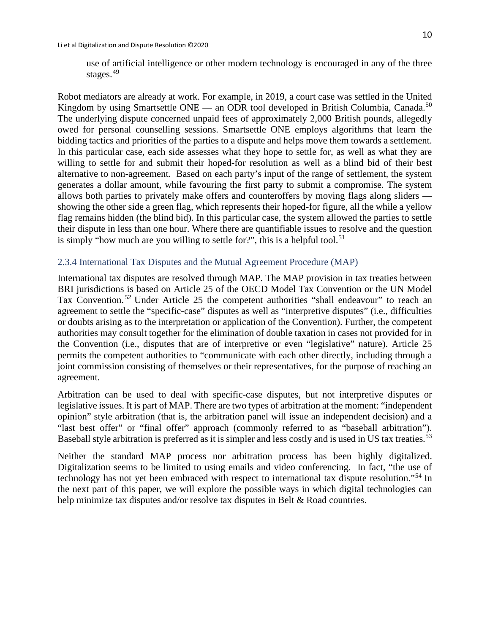use of artificial intelligence or other modern technology is encouraged in any of the three stages.<sup>[49](#page-19-32)</sup>

Robot mediators are already at work. For example, in 2019, a court case was settled in the United Kingdom by using Smartsettle ONE — an ODR tool developed in British Columbia, Canada.<sup>[50](#page-19-33)</sup> The underlying dispute concerned unpaid fees of approximately 2,000 British pounds, allegedly owed for personal counselling sessions. Smartsettle ONE employs algorithms that learn the bidding tactics and priorities of the parties to a dispute and helps move them towards a settlement. In this particular case, each side assesses what they hope to settle for, as well as what they are willing to settle for and submit their hoped-for resolution as well as a blind bid of their best alternative to non-agreement. Based on each party's input of the range of settlement, the system generates a dollar amount, while favouring the first party to submit a compromise. The system allows both parties to privately make offers and counteroffers by moving flags along sliders showing the other side a green flag, which represents their hoped-for figure, all the while a yellow flag remains hidden (the blind bid). In this particular case, the system allowed the parties to settle their dispute in less than one hour. Where there are quantifiable issues to resolve and the question is simply "how much are you willing to settle for?", this is a helpful tool.<sup>[51](#page-19-34)</sup>

#### 2.3.4 International Tax Disputes and the Mutual Agreement Procedure (MAP)

International tax disputes are resolved through MAP. The MAP provision in tax treaties between BRI jurisdictions is based on Article 25 of the OECD Model Tax Convention or the UN Model Tax Convention. [52](#page-19-35) Under Article 25 the competent authorities "shall endeavour" to reach an agreement to settle the "specific-case" disputes as well as "interpretive disputes" (i.e., difficulties or doubts arising as to the interpretation or application of the Convention). Further, the competent authorities may consult together for the elimination of double taxation in cases not provided for in the Convention (i.e., disputes that are of interpretive or even "legislative" nature). Article 25 permits the competent authorities to "communicate with each other directly, including through a joint commission consisting of themselves or their representatives, for the purpose of reaching an agreement.

Arbitration can be used to deal with specific-case disputes, but not interpretive disputes or legislative issues. It is part of MAP. There are two types of arbitration at the moment: "independent opinion" style arbitration (that is, the arbitration panel will issue an independent decision) and a "last best offer" or "final offer" approach (commonly referred to as "baseball arbitration"). Baseball style arbitration is preferred as it is simpler and less costly and is used in US tax treaties.<sup>[53](#page-19-36)</sup>

Neither the standard MAP process nor arbitration process has been highly digitalized. Digitalization seems to be limited to using emails and video conferencing. In fact, "the use of technology has not yet been embraced with respect to international tax dispute resolution."[54](#page-19-1) In the next part of this paper, we will explore the possible ways in which digital technologies can help minimize tax disputes and/or resolve tax disputes in Belt & Road countries.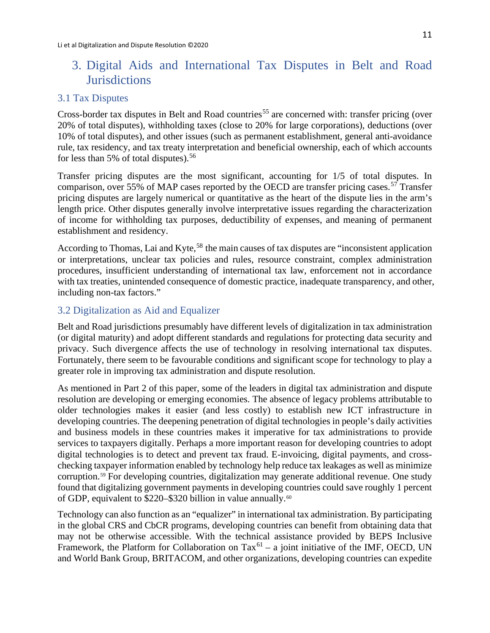## 3. Digital Aids and International Tax Disputes in Belt and Road **Jurisdictions**

### 3.1 Tax Disputes

Cross-border tax disputes in Belt and Road countries<sup>[55](#page-19-2)</sup> are concerned with: transfer pricing (over 20% of total disputes), withholding taxes (close to 20% for large corporations), deductions (over 10% of total disputes), and other issues (such as permanent establishment, general anti-avoidance rule, tax residency, and tax treaty interpretation and beneficial ownership, each of which accounts for less than 5% of total disputes). [56](#page-19-37) 

Transfer pricing disputes are the most significant, accounting for 1/5 of total disputes. In comparison, over 55% of MAP cases reported by the OECD are transfer pricing cases.<sup>[57](#page-19-38)</sup> Transfer pricing disputes are largely numerical or quantitative as the heart of the dispute lies in the arm's length price. Other disputes generally involve interpretative issues regarding the characterization of income for withholding tax purposes, deductibility of expenses, and meaning of permanent establishment and residency.

According to Thomas, Lai and Kyte,<sup>[58](#page-19-39)</sup> the main causes of tax disputes are "inconsistent application" or interpretations, unclear tax policies and rules, resource constraint, complex administration procedures, insufficient understanding of international tax law, enforcement not in accordance with tax treaties, unintended consequence of domestic practice, inadequate transparency, and other, including non-tax factors."

## 3.2 Digitalization as Aid and Equalizer

Belt and Road jurisdictions presumably have different levels of digitalization in tax administration (or digital maturity) and adopt different standards and regulations for protecting data security and privacy. Such divergence affects the use of technology in resolving international tax disputes. Fortunately, there seem to be favourable conditions and significant scope for technology to play a greater role in improving tax administration and dispute resolution.

As mentioned in Part 2 of this paper, some of the leaders in digital tax administration and dispute resolution are developing or emerging economies. The absence of legacy problems attributable to older technologies makes it easier (and less costly) to establish new ICT infrastructure in developing countries. The deepening penetration of digital technologies in people's daily activities and business models in these countries makes it imperative for tax administrations to provide services to taxpayers digitally. Perhaps a more important reason for developing countries to adopt digital technologies is to detect and prevent tax fraud. E-invoicing, digital payments, and crosschecking taxpayer information enabled by technology help reduce tax leakages as well as minimize corruption.[59](#page-19-25) For developing countries, digitalization may generate additional revenue. One study found that digitalizing government payments in developing countries could save roughly 1 percent of GDP, equivalent to \$220–\$320 billion in value annually.<sup>[60](#page-19-40)</sup>

Technology can also function as an "equalizer" in international tax administration. By participating in the global CRS and CbCR programs, developing countries can benefit from obtaining data that may not be otherwise accessible. With the technical assistance provided by BEPS Inclusive Framework, the Platform for Collaboration on  $\text{Tax}^{61}$  $\text{Tax}^{61}$  $\text{Tax}^{61}$  – a joint initiative of the IMF, OECD, UN and World Bank Group, BRITACOM, and other organizations, developing countries can expedite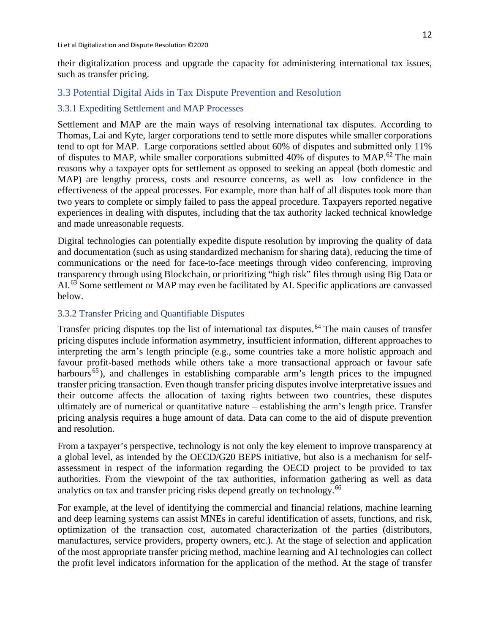their digitalization process and upgrade the capacity for administering international tax issues, such as transfer pricing.

## 3.3 Potential Digital Aids in Tax Dispute Prevention and Resolution

### 3.3.1 Expediting Settlement and MAP Processes

Settlement and MAP are the main ways of resolving international tax disputes. According to Thomas, Lai and Kyte, larger corporations tend to settle more disputes while smaller corporations tend to opt for MAP. Large corporations settled about 60% of disputes and submitted only 11% of disputes to MAP, while smaller corporations submitted 40% of disputes to MAP.<sup>[62](#page-19-11)</sup> The main reasons why a taxpayer opts for settlement as opposed to seeking an appeal (both domestic and MAP) are lengthy process, costs and resource concerns, as well as low confidence in the effectiveness of the appeal processes. For example, more than half of all disputes took more than two years to complete or simply failed to pass the appeal procedure. Taxpayers reported negative experiences in dealing with disputes, including that the tax authority lacked technical knowledge and made unreasonable requests.

Digital technologies can potentially expedite dispute resolution by improving the quality of data and documentation (such as using standardized mechanism for sharing data), reducing the time of communications or the need for face-to-face meetings through video conferencing, improving transparency through using Blockchain, or prioritizing "high risk" files through using Big Data or AI.<sup>[63](#page-19-42)</sup> Some settlement or MAP may even be facilitated by AI. Specific applications are canvassed below.

### 3.3.2 Transfer Pricing and Quantifiable Disputes

Transfer pricing disputes top the list of international tax disputes.<sup>[64](#page-19-43)</sup> The main causes of transfer pricing disputes include information asymmetry, insufficient information, different approaches to interpreting the arm's length principle (e.g., some countries take a more holistic approach and favour profit-based methods while others take a more transactional approach or favour safe harbours<sup>[65](#page-19-44)</sup>), and challenges in establishing comparable arm's length prices to the impugned transfer pricing transaction. Even though transfer pricing disputes involve interpretative issues and their outcome affects the allocation of taxing rights between two countries, these disputes ultimately are of numerical or quantitative nature – establishing the arm's length price. Transfer pricing analysis requires a huge amount of data. Data can come to the aid of dispute prevention and resolution.

From a taxpayer's perspective, technology is not only the key element to improve transparency at a global level, as intended by the OECD/G20 BEPS initiative, but also is a mechanism for selfassessment in respect of the information regarding the OECD project to be provided to tax authorities. From the viewpoint of the tax authorities, information gathering as well as data analytics on tax and transfer pricing risks depend greatly on technology.<sup>[66](#page-19-45)</sup>

For example, at the level of identifying the commercial and financial relations, machine learning and deep learning systems can assist MNEs in careful identification of assets, functions, and risk, optimization of the transaction cost, automated characterization of the parties (distributors, manufactures, service providers, property owners, etc.). At the stage of selection and application of the most appropriate transfer pricing method, machine learning and AI technologies can collect the profit level indicators information for the application of the method. At the stage of transfer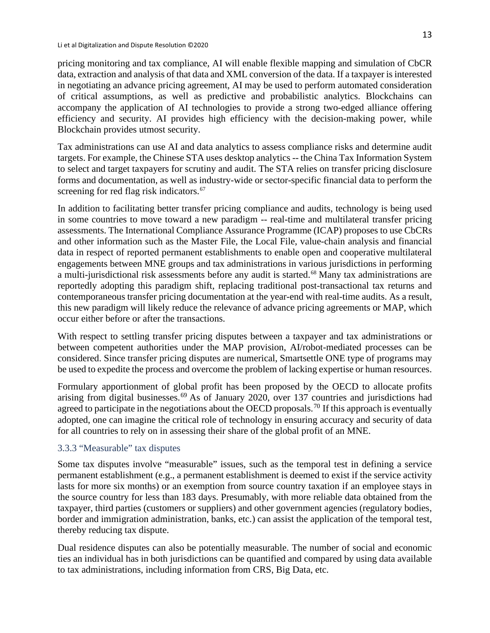pricing monitoring and tax compliance, AI will enable flexible mapping and simulation of CbCR data, extraction and analysis of that data and XML conversion of the data. If a taxpayer is interested in negotiating an advance pricing agreement, AI may be used to perform automated consideration of critical assumptions, as well as predictive and probabilistic analytics. Blockchains can accompany the application of AI technologies to provide a strong two-edged alliance offering efficiency and security. AI provides high efficiency with the decision-making power, while Blockchain provides utmost security.

Tax administrations can use AI and data analytics to assess compliance risks and determine audit targets. For example, the Chinese STA uses desktop analytics -- the China Tax Information System to select and target taxpayers for scrutiny and audit. The STA relies on transfer pricing disclosure forms and documentation, as well as industry-wide or sector-specific financial data to perform the screening for red flag risk indicators.<sup>[67](#page-19-46)</sup>

In addition to facilitating better transfer pricing compliance and audits, technology is being used in some countries to move toward a new paradigm -- real-time and multilateral transfer pricing assessments. The International Compliance Assurance Programme (ICAP) proposes to use CbCRs and other information such as the Master File, the Local File, value-chain analysis and financial data in respect of reported permanent establishments to enable open and cooperative multilateral engagements between MNE groups and tax administrations in various jurisdictions in performing a multi-jurisdictional risk assessments before any audit is started.<sup>[68](#page-19-47)</sup> Many tax administrations are reportedly adopting this paradigm shift, replacing traditional post-transactional tax returns and contemporaneous transfer pricing documentation at the year-end with real-time audits. As a result, this new paradigm will likely reduce the relevance of advance pricing agreements or MAP, which occur either before or after the transactions.

With respect to settling transfer pricing disputes between a taxpayer and tax administrations or between competent authorities under the MAP provision, AI/robot-mediated processes can be considered. Since transfer pricing disputes are numerical, Smartsettle ONE type of programs may be used to expedite the process and overcome the problem of lacking expertise or human resources.

Formulary apportionment of global profit has been proposed by the OECD to allocate profits arising from digital businesses.[69](#page-19-48) As of January 2020, over 137 countries and jurisdictions had agreed to participate in the negotiations about the OECD proposals.<sup>[70](#page-19-34)</sup> If this approach is eventually adopted, one can imagine the critical role of technology in ensuring accuracy and security of data for all countries to rely on in assessing their share of the global profit of an MNE.

## 3.3.3 "Measurable" tax disputes

Some tax disputes involve "measurable" issues, such as the temporal test in defining a service permanent establishment (e.g., a permanent establishment is deemed to exist if the service activity lasts for more six months) or an exemption from source country taxation if an employee stays in the source country for less than 183 days. Presumably, with more reliable data obtained from the taxpayer, third parties (customers or suppliers) and other government agencies (regulatory bodies, border and immigration administration, banks, etc.) can assist the application of the temporal test, thereby reducing tax dispute.

Dual residence disputes can also be potentially measurable. The number of social and economic ties an individual has in both jurisdictions can be quantified and compared by using data available to tax administrations, including information from CRS, Big Data, etc.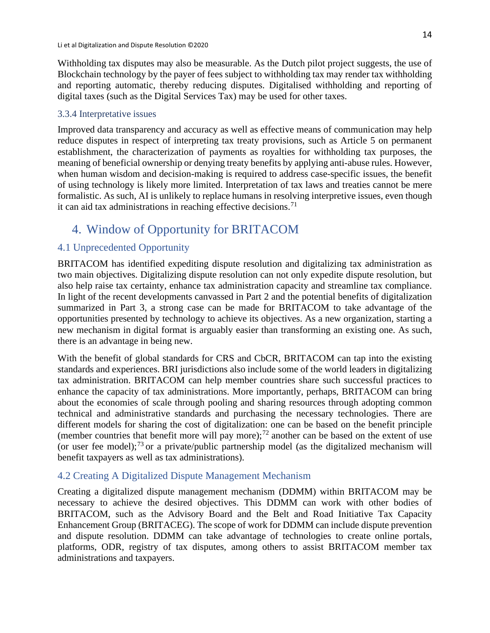Withholding tax disputes may also be measurable. As the Dutch pilot project suggests, the use of Blockchain technology by the payer of fees subject to withholding tax may render tax withholding and reporting automatic, thereby reducing disputes. Digitalised withholding and reporting of digital taxes (such as the Digital Services Tax) may be used for other taxes.

## 3.3.4 Interpretative issues

Improved data transparency and accuracy as well as effective means of communication may help reduce disputes in respect of interpreting tax treaty provisions, such as Article 5 on permanent establishment, the characterization of payments as royalties for withholding tax purposes, the meaning of beneficial ownership or denying treaty benefits by applying anti-abuse rules. However, when human wisdom and decision-making is required to address case-specific issues, the benefit of using technology is likely more limited. Interpretation of tax laws and treaties cannot be mere formalistic. As such, AI is unlikely to replace humans in resolving interpretive issues, even though it can aid tax administrations in reaching effective decisions.<sup>[71](#page-19-49)</sup>

## 4. Window of Opportunity for BRITACOM

## 4.1 Unprecedented Opportunity

BRITACOM has identified expediting dispute resolution and digitalizing tax administration as two main objectives. Digitalizing dispute resolution can not only expedite dispute resolution, but also help raise tax certainty, enhance tax administration capacity and streamline tax compliance. In light of the recent developments canvassed in Part 2 and the potential benefits of digitalization summarized in Part 3, a strong case can be made for BRITACOM to take advantage of the opportunities presented by technology to achieve its objectives. As a new organization, starting a new mechanism in digital format is arguably easier than transforming an existing one. As such, there is an advantage in being new.

With the benefit of global standards for CRS and CbCR, BRITACOM can tap into the existing standards and experiences. BRI jurisdictions also include some of the world leaders in digitalizing tax administration. BRITACOM can help member countries share such successful practices to enhance the capacity of tax administrations. More importantly, perhaps, BRITACOM can bring about the economies of scale through pooling and sharing resources through adopting common technical and administrative standards and purchasing the necessary technologies. There are different models for sharing the cost of digitalization: one can be based on the benefit principle (member countries that benefit more will pay more);<sup>[72](#page-19-50)</sup> another can be based on the extent of use (or user fee model);<sup>[73](#page-19-22)</sup> or a private/public partnership model (as the digitalized mechanism will benefit taxpayers as well as tax administrations).

## 4.2 Creating A Digitalized Dispute Management Mechanism

Creating a digitalized dispute management mechanism (DDMM) within BRITACOM may be necessary to achieve the desired objectives. This DDMM can work with other bodies of BRITACOM, such as the Advisory Board and the Belt and Road Initiative Tax Capacity Enhancement Group (BRITACEG). The scope of work for DDMM can include dispute prevention and dispute resolution. DDMM can take advantage of technologies to create online portals, platforms, ODR, registry of tax disputes, among others to assist BRITACOM member tax administrations and taxpayers.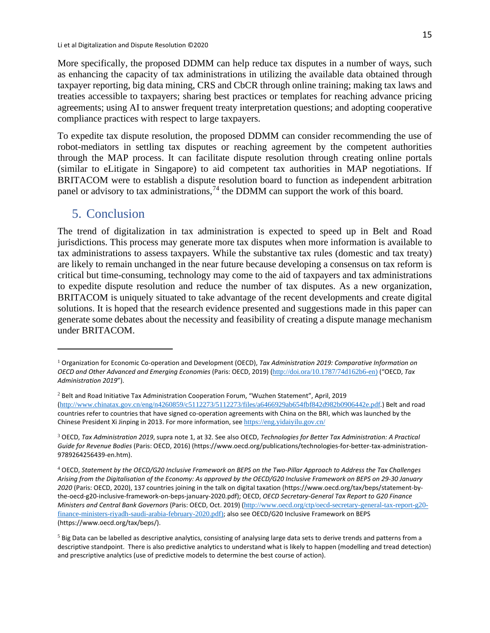More specifically, the proposed DDMM can help reduce tax disputes in a number of ways, such as enhancing the capacity of tax administrations in utilizing the available data obtained through taxpayer reporting, big data mining, CRS and CbCR through online training; making tax laws and treaties accessible to taxpayers; sharing best practices or templates for reaching advance pricing agreements; using AI to answer frequent treaty interpretation questions; and adopting cooperative compliance practices with respect to large taxpayers.

To expedite tax dispute resolution, the proposed DDMM can consider recommending the use of robot-mediators in settling tax disputes or reaching agreement by the competent authorities through the MAP process. It can facilitate dispute resolution through creating online portals (similar to eLitigate in Singapore) to aid competent tax authorities in MAP negotiations. If BRITACOM were to establish a dispute resolution board to function as independent arbitration panel or advisory to tax administrations,  $^{74}$  $^{74}$  $^{74}$  the DDMM can support the work of this board.

## 5. Conclusion

The trend of digitalization in tax administration is expected to speed up in Belt and Road jurisdictions. This process may generate more tax disputes when more information is available to tax administrations to assess taxpayers. While the substantive tax rules (domestic and tax treaty) are likely to remain unchanged in the near future because developing a consensus on tax reform is critical but time-consuming, technology may come to the aid of taxpayers and tax administrations to expedite dispute resolution and reduce the number of tax disputes. As a new organization, BRITACOM is uniquely situated to take advantage of the recent developments and create digital solutions. It is hoped that the research evidence presented and suggestions made in this paper can generate some debates about the necessity and feasibility of creating a dispute manage mechanism under BRITACOM.

<span id="page-15-0"></span><sup>1</sup> Organization for Economic Co-operation and Development (OECD), *Tax Administration 2019: Comparative Information on OECD and Other Advanced and Emerging Economies* (Paris: OECD, 2019) ([http://doi.ora/10.1787/74d162b6-en\)](http://doi.ora/10.1787/74d162b6-en)) ("OECD, *Tax Administration 2019*").

<span id="page-15-1"></span><sup>2</sup> Belt and Road Initiative Tax Administration Cooperation Forum, "Wuzhen Statement", April, 2019 (<http://www.chinatax.gov.cn/eng/n4260859/c5112273/5112273/files/a6466929ab654fbf842d982b0906442e.pdf>.) Belt and road countries refer to countries that have signed co-operation agreements with China on the BRI, which was launched by the Chinese President Xi Jinping in 2013. For more information, see <https://eng.yidaiyilu.gov.cn/>

<span id="page-15-2"></span><sup>3</sup> OECD, *Tax Administration 2019*, supra note 1, at 32. See also OECD, *Technologies for Better Tax Administration: A Practical Guide for Revenue Bodies* (Paris: OECD, 2016) (https://www.oecd.org/publications/technologies-for-better-tax-administration-9789264256439-en.htm).

<sup>4</sup> OECD, *Statement by the OECD/G20 Inclusive Framework on BEPS on the Two-Pillar Approach to Address the Tax Challenges Arising from the Digitalisation of the Economy: As approved by the OECD/G20 Inclusive Framework on BEPS on 29-30 January 2020* (Paris: OECD, 2020), 137 countries joining in the talk on digital taxation (https://www.oecd.org/tax/beps/statement-bythe-oecd-g20-inclusive-framework-on-beps-january-2020.pdf); OECD, *OECD Secretary-General Tax Report to G20 Finance Ministers and Central Bank Governors* (Paris: OECD, Oct. 2019) ([http://www.oecd.org/ctp/oecd-secretary-general-tax-report-g20](http://www.oecd.org/ctp/oecd-secretary-general-tax-report-g20-finance-ministers-riyadh-saudi-arabia-february-2020.pdf)) [finance-ministers-riyadh-saudi-arabia-february-2020.pdf\)](http://www.oecd.org/ctp/oecd-secretary-general-tax-report-g20-finance-ministers-riyadh-saudi-arabia-february-2020.pdf)); also see OECD/G20 Inclusive Framework on BEPS (https://www.oecd.org/tax/beps/).

 $<sup>5</sup>$  Big Data can be labelled as descriptive analytics, consisting of analysing large data sets to derive trends and patterns from a</sup> descriptive standpoint. There is also predictive analytics to understand what is likely to happen (modelling and tread detection) and prescriptive analytics (use of predictive models to determine the best course of action).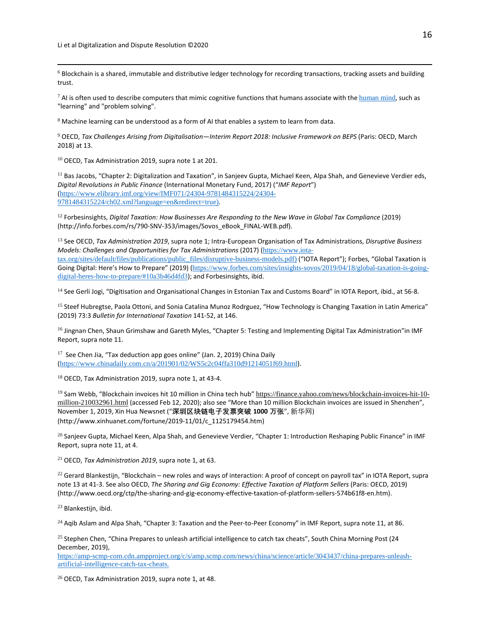<span id="page-16-2"></span> $6$  Blockchain is a shared, immutable and distributive ledger technology for recording transactions, tracking assets and building trust.

<span id="page-16-3"></span> $7$  AI is often used to describe computers that mimic cognitive functions that humans associate with the [human mind](https://en.wikipedia.org/wiki/Human_mind), such as "learning" and "problem solving".

<span id="page-16-4"></span> $8$  Machine learning can be understood as a form of AI that enables a system to learn from data.

<span id="page-16-5"></span><sup>9</sup> OECD, Tax Challenges Arising from Digitalisation—Interim Report 2018: Inclusive Framework on BEPS (Paris: OECD, March 2018) at 13.

<sup>10</sup> OECD, Tax Administration 2019, supra note 1 at 201.

 $11$  Bas Jacobs, "Chapter 2: Digitalization and Taxation", in Sanjeev Gupta, Michael Keen, Alpa Shah, and Genevieve Verdier eds, *Digital Revolutions in Public Finance* (International Monetary Fund, 2017) ("*IMF Report*") ([https://www.elibrary.imf.org/view/IMF071/24304-9781484315224/24304-](https://www.elibrary.imf.org/view/IMF071/24304-9781484315224/24304-9781484315224/ch02.xml?language=en&redirect=true)) [9781484315224/ch02.xml?language=en&redirect=true\)](https://www.elibrary.imf.org/view/IMF071/24304-9781484315224/24304-9781484315224/ch02.xml?language=en&redirect=true)).

<sup>12</sup> Forbesinsights, *Digital Taxation: How Businesses Are Responding to the New Wave in Global Tax Compliance* (2019) (http://info.forbes.com/rs/790-SNV-353/images/Sovos\_eBook\_FINAL-WEB.pdf).

<sup>13</sup> See OECD, *Tax Administration 2019*, supra note 1; Intra-European Organisation of Tax Administrations, *Disruptive Business Models: Challenges and Opportunities for Tax Administrations* (2017) ([https://www.iota](https://www.iota-tax.org/sites/default/files/publications/public_files/disruptive-business-models.pdf))[tax.org/sites/default/files/publications/public\\_files/disruptive-business-models.pdf\)](https://www.iota-tax.org/sites/default/files/publications/public_files/disruptive-business-models.pdf)) ("IOTA Report"); Forbes, "Global Taxation is Going Digital: Here's How to Prepare" (2019) ([https://www.forbes.com/sites/insights-sovos/2019/04/18/global-taxation-is-going](https://www.forbes.com/sites/insights-sovos/2019/04/18/global-taxation-is-going-digital-heres-how-to-prepare/#10a3b46d4fd3)[digital-heres-how-to-prepare/#10a3b46d4fd3](https://www.forbes.com/sites/insights-sovos/2019/04/18/global-taxation-is-going-digital-heres-how-to-prepare/#10a3b46d4fd3)); and Forbesinsights, ibid.

<sup>14</sup> See Gerli Jogi, "Digitisation and Organisational Changes in Estonian Tax and Customs Board" in IOTA Report, ibid., at 56-8.

<sup>15</sup> Steef Hubregtse, Paola Ottoni, and Sonia Catalina Munoz Rodrguez, "How Technology is Changing Taxation in Latin America" (2019) 73:3 *Bulletin for International Taxation* 141-52, at 146.

<sup>16</sup> Jingnan Chen, Shaun Grimshaw and Gareth Myles, "Chapter 5: Testing and Implementing Digital Tax Administration"in IMF Report, supra note 11.

 $17$  See Chen Jia, "Tax deduction app goes online" (Jan. 2, 2019) China Daily (<https://www.chinadaily.com.cn/a/201901/02/WS5c2c04ffa310d91214051f69.html>).

18 OECD, Tax Administration 2019, supra note 1, at 43-4.

 $19$  Sam Webb, "Blockchain invoices hit 10 million in China tech hub" [https://finance.yahoo.com/news/blockchain-invoices-hit-10](https://finance.yahoo.com/news/blockchain-invoices-hit-10-million-210032961.html) [million-210032961.html](https://finance.yahoo.com/news/blockchain-invoices-hit-10-million-210032961.html) (accessed Feb 12, 2020); also see "More than 10 million Blockchain invoices are issued in Shenzhen", November 1, 2019, Xin Hua Newsnet ("**深圳区块链电子发票突破 1000 万张**", 新华网) (http://www.xinhuanet.com/fortune/2019-11/01/c\_1125179454.htm)

 $^{20}$  Sanjeev Gupta, Michael Keen, Alpa Shah, and Genevieve Verdier, "Chapter 1: Introduction Reshaping Public Finance" in IMF Report, supra note 11, at 4.

<sup>21</sup> OECD, *Tax Administration 2019*, supra note 1, at 63.

<span id="page-16-0"></span> $^{22}$  Gerard Blankestijn, "Blockchain – new roles and ways of interaction: A proof of concept on payroll tax" in IOTA Report, supra note 13 at 41-3. See also OECD, *The Sharing and Gig Economy: Effective Taxation of Platform Sellers* (Paris: OECD, 2019) (http://www.oecd.org/ctp/the-sharing-and-gig-economy-effective-taxation-of-platform-sellers-574b61f8-en.htm).

<sup>23</sup> Blankestijn, ibid.

 $24$  Aqib Aslam and Alpa Shah, "Chapter 3: Taxation and the Peer-to-Peer Economy" in IMF Report, supra note 11, at 86.

<span id="page-16-1"></span><sup>25</sup> Stephen Chen, "China Prepares to unleash artificial intelligence to catch tax cheats", South China Morning Post (24 December, 2019),

[https://amp-scmp-com.cdn.ampproject.org/c/s/amp.scmp.com/news/china/science/article/3043437/china-prepares-unleash](https://amp-scmp-com.cdn.ampproject.org/c/s/amp.scmp.com/news/china/science/article/3043437/china-prepares-unleash-artificial-intelligence-catch-tax-cheats)[artificial-intelligence-catch-tax-cheats.](https://amp-scmp-com.cdn.ampproject.org/c/s/amp.scmp.com/news/china/science/article/3043437/china-prepares-unleash-artificial-intelligence-catch-tax-cheats)

<sup>26</sup> OECD, Tax Administration 2019, supra note 1, at 48.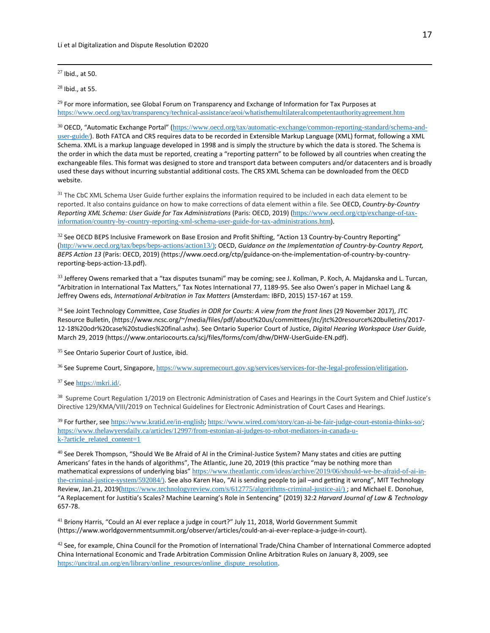<sup>27</sup> Ibid., at 50.

<sup>28</sup> Ibid., at 55.

 $29$  For more information, see Global Forum on Transparency and Exchange of Information for Tax Purposes at <https://www.oecd.org/tax/transparency/technical-assistance/aeoi/whatisthemultilateralcompetentauthorityagreement.htm>

<span id="page-17-0"></span><sup>30</sup> OECD, "Automatic Exchange Portal" ([https://www.oecd.org/tax/automatic-exchange/common-reporting-standard/schema-and](https://www.oecd.org/tax/automatic-exchange/common-reporting-standard/schema-and-user-guide/)[user-guide/](https://www.oecd.org/tax/automatic-exchange/common-reporting-standard/schema-and-user-guide/)). Both FATCA and CRS requires data to be recorded in Extensible Markup Language (XML) format, following a XML Schema. XML is a markup language developed in 1998 and is simply the structure by which the data is stored. The Schema is the order in which the data must be reported, creating a "reporting pattern" to be followed by all countries when creating the exchangeable files. This format was designed to store and transport data between computers and/or datacenters and is broadly used these days without incurring substantial additional costs. The CRS XML Schema can be downloaded from the OECD website.

<span id="page-17-1"></span><sup>31</sup> The CbC XML Schema User Guide further explains the information required to be included in each data element to be reported. It also contains guidance on how to make corrections of data element within a file. See OECD, *Country-by-Country Reporting XML Schema: User Guide for Tax Administrations* (Paris: OECD, 2019) ([https://www.oecd.org/ctp/exchange-of-tax](https://www.oecd.org/ctp/exchange-of-tax-information/country-by-country-reporting-xml-schema-user-guide-for-tax-administrations.htm)[information/country-by-country-reporting-xml-schema-user-guide-for-tax-administrations.htm](https://www.oecd.org/ctp/exchange-of-tax-information/country-by-country-reporting-xml-schema-user-guide-for-tax-administrations.htm)).

<span id="page-17-3"></span><span id="page-17-2"></span> $32$  See OECD BEPS Inclusive Framework on Base Erosion and Profit Shifting, "Action 13 Country-by-Country Reporting" ([http://www.oecd.org/tax/beps/beps-actions/action13/\)](http://www.oecd.org/tax/beps/beps-actions/action13/)); OECD, *Guidance on the Implementation of Country-by-Country Report, BEPS Action 13* (Paris: OECD, 2019) (https://www.oecd.org/ctp/guidance-on-the-implementation-of-country-by-countryreporting-beps-action-13.pdf).

 $33$  Jefferey Owens remarked that a "tax disputes tsunami" may be coming; see J. Kollman, P. Koch, A. Majdanska and L. Turcan, "Arbitration in International Tax Matters," Tax Notes International 77, 1189-95. See also Owen's paper in Michael Lang & Jeffrey Owens eds, *International Arbitration in Tax Matters* (Amsterdam: IBFD, 2015) 157-167 at 159.

<sup>34</sup> See Joint Technology Committee, *Case Studies in ODR for Courts: A view from the front lines* (29 November 2017), JTC Resource Bulletin, (https://www.ncsc.org/~/media/files/pdf/about%20us/committees/jtc/jtc%20resource%20bulletins/2017- 12-18%20odr%20case%20studies%20final.ashx). See Ontario Superior Court of Justice, *Digital Hearing Workspace User Guide*, March 29, 2019 (https://www.ontariocourts.ca/scj/files/forms/com/dhw/DHW-UserGuide-EN.pdf).

<sup>35</sup> See Ontario Superior Court of Justice, ibid.

<sup>36</sup> See Supreme Court, Singapore, <https://www.supremecourt.gov.sg/services/services-for-the-legal-profession/elitigation>.

37 See <https://mkri.id/>.

<sup>38</sup> Supreme Court Regulation 1/2019 on Electronic Administration of Cases and Hearings in the Court System and Chief Justice's Directive 129/KMA/VIII/2019 on Technical Guidelines for Electronic Administration of Court Cases and Hearings.

<sup>39</sup> For further, see <https://www.kratid.ee/in-english>; https://www.wired.com/story/can-ai-be-fair-judge-court-estonia-thinks-so/; [https://www.thelawyersdaily.ca/articles/12997/from-estonian-ai-judges-to-robot-mediators-in-canada-u](https://www.thelawyersdaily.ca/articles/12997/from-estonian-ai-judges-to-robot-mediators-in-canada-u-k-?article_related_content=1)[k-?article\\_related\\_content=1](https://www.thelawyersdaily.ca/articles/12997/from-estonian-ai-judges-to-robot-mediators-in-canada-u-k-?article_related_content=1)

 $40$  See Derek Thompson, "Should We Be Afraid of AI in the Criminal-Justice System? Many states and cities are putting Americans' fates in the hands of algorithms", The Atlantic, June 20, 2019 (this practice "may be nothing more than mathematical expressions of underlying bias" [https://www.theatlantic.com/ideas/archive/2019/06/should-we-be-afraid-of-ai-in](https://www.theatlantic.com/ideas/archive/2019/06/should-we-be-afraid-of-ai-in-the-criminal-justice-system/592084/)[the-criminal-justice-system/592084/\)](https://www.theatlantic.com/ideas/archive/2019/06/should-we-be-afraid-of-ai-in-the-criminal-justice-system/592084/). See also Karen Hao, "AI is sending people to jail –and getting it wrong", MIT Technology Review, Jan.21, 2019([https://www.technologyreview.com/s/612775/algorithms-criminal-justice-ai/\)](https://www.technologyreview.com/s/612775/algorithms-criminal-justice-ai/)); and Michael E. Donohue, "A Replacement for Justitia's Scales? Machine Learning's Role in Sentencing" (2019) 32:2 *Harvard Journal of Law & Technology* 657-78.

<sup>41</sup> Briony Harris, "Could an AI ever replace a judge in court?" July 11, 2018, World Government Summit (https://www.worldgovernmentsummit.org/observer/articles/could-an-ai-ever-replace-a-judge-in-court).

 $42$  See, for example, China Council for the Promotion of International Trade/China Chamber of International Commerce adopted China International Economic and Trade Arbitration Commission Online Arbitration Rules on January 8, 2009, see [https://uncitral.un.org/en/library/online\\_resources/online\\_dispute\\_resolution](https://uncitral.un.org/en/library/online_resources/online_dispute_resolution).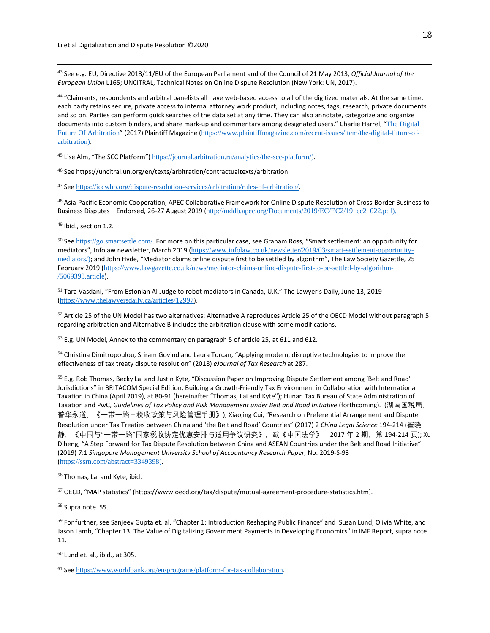<sup>43</sup> See e.g. EU, Directive 2013/11/EU of the European Parliament and of the Council of 21 May 2013, *Official Journal of the European Union* L165; UNCITRAL, Technical Notes on Online Dispute Resolution (New York: UN, 2017).

<sup>44</sup> "Claimants, respondents and arbitral panelists all have web-based access to all of the digitized materials. At the same time, each party retains secure, private access to internal attorney work product, including notes, tags, research, private documents and so on. Parties can perform quick searches of the data set at any time. They can also annotate, categorize and organize documents into custom binders, and share mark-up and commentary among designated users." Charlie Harrel, "[The Digital](https://www.plaintiffmagazine.com/recent-issues/item/the-digital-future-of-arbitration)  [Future Of Arbitration](https://www.plaintiffmagazine.com/recent-issues/item/the-digital-future-of-arbitration)" (2017) Plaintiff Magazine ([https://www.plaintiffmagazine.com/recent-issues/item/the-digital-future-of](https://www.plaintiffmagazine.com/recent-issues/item/the-digital-future-of-arbitration))[arbitration\)](https://www.plaintiffmagazine.com/recent-issues/item/the-digital-future-of-arbitration)).

<sup>45</sup> Lise Alm, "The SCC Platform"( [https://journal.arbitration.ru/analytics/the-scc-platform/\)](https://journal.arbitration.ru/analytics/the-scc-platform/)).

<sup>46</sup> See https://uncitral.un.org/en/texts/arbitration/contractualtexts/arbitration.

<sup>47</sup> See <https://iccwbo.org/dispute-resolution-services/arbitration/rules-of-arbitration/>.

48 Asia-Pacific Economic Cooperation, APEC Collaborative Framework for Online Dispute Resolution of Cross-Border Business-to-Business Disputes – Endorsed, 26-27 August 2019 ([http://mddb.apec.org/Documents/2019/EC/EC2/19\\_ec2\\_022.pdf\)](http://mddb.apec.org/Documents/2019/EC/EC2/19_ec2_022.pdf).

 $49$  Ibid., section 1.2.

<sup>50</sup> See <https://go.smartsettle.com/>. For more on this particular case, see Graham Ross, "Smart settlement: an opportunity for mediators", Infolaw newsletter, March 2019 ([https://www.infolaw.co.uk/newsletter/2019/03/smart-settlement-opportunity](https://www.infolaw.co.uk/newsletter/2019/03/smart-settlement-opportunity-mediators/)[mediators/\)](https://www.infolaw.co.uk/newsletter/2019/03/smart-settlement-opportunity-mediators/); and John Hyde, "Mediator claims online dispute first to be settled by algorithm", The Law Society Gazettle, 25 February 2019 ([https://www.lawgazette.co.uk/news/mediator-claims-online-dispute-first-to-be-settled-by-algorithm-](https://www.lawgazette.co.uk/news/mediator-claims-online-dispute-first-to-be-settled-by-algorithm-/5069393.article) [/5069393.article](https://www.lawgazette.co.uk/news/mediator-claims-online-dispute-first-to-be-settled-by-algorithm-/5069393.article)).

<span id="page-18-0"></span><sup>51</sup> Tara Vasdani, "From Estonian AI Judge to robot mediators in Canada, U.K." The Lawyer's Daily, June 13, 2019 (<https://www.thelawyersdaily.ca/articles/12997>).

<span id="page-18-1"></span><sup>52</sup> Article 25 of the UN Model has two alternatives: Alternative A reproduces Article 25 of the OECD Model without paragraph 5 regarding arbitration and Alternative B includes the arbitration clause with some modifications.

<sup>53</sup> E.g. UN Model, Annex to the commentary on paragraph 5 of article 25, at 611 and 612.

<sup>54</sup> Christina Dimitropoulou, Sriram Govind and Laura Turcan, "Applying modern, disruptive technologies to improve the effectiveness of tax treaty dispute resolution" (2018) *eJournal of Tax Research* at 287.

<sup>55</sup> E.g. Rob Thomas, Becky Lai and Justin Kyte, "Discussion Paper on Improving Dispute Settlement among 'Belt and Road' Jurisdictions" in BRITACOM Special Edition, Building a Growth-Friendly Tax Environment in Collaboration with International Taxation in China (April 2019), at 80-91 (hereinafter "Thomas, Lai and Kyte"); Hunan Tax Bureau of State Administration of Taxation and PwC, Guidelines of Tax Policy and Risk Management under Belt and Road Initiative (forthcoming). (湖南国税局, 普华永道,《一带一路 – 税收政策与风险管理手册》); Xiaojing Cui, "Research on Preferential Arrangement and Dispute Resolution under Tax Treaties between China and 'the Belt and Road' Countries" (2017) 2 *China Legal Science* 194-214 (崔晓 静, 《中国与"一带一路"国家税收协定优惠安排与适用争议研究》, 载《中国法学》, 2017 年 2 期, 第 194-214 页); Xu Diheng, "A Step Forward for Tax Dispute Resolution between China and ASEAN Countries under the Belt and Road Initiative" (2019) 7:1 *Singapore Management University School of Accountancy Research Paper*, No. 2019-S-93 ([https://ssrn.com/abstract=3349398\)](https://ssrn.com/abstract=3349398).

<sup>56</sup> Thomas, Lai and Kyte, ibid.

<sup>57</sup> OECD, "MAP statistics" (https://www.oecd.org/tax/dispute/mutual-agreement-procedure-statistics.htm).

<sup>58</sup> Supra note 55.

<sup>59</sup> For further, see Sanjeev Gupta et. al. "Chapter 1: Introduction Reshaping Public Finance" and Susan Lund, Olivia White, and Jason Lamb, "Chapter 13: The Value of Digitalizing Government Payments in Developing Economics" in IMF Report, supra note 11.

 $60$  Lund et. al., ibid., at 305.

<sup>61</sup> See <https://www.worldbank.org/en/programs/platform-for-tax-collaboration>.